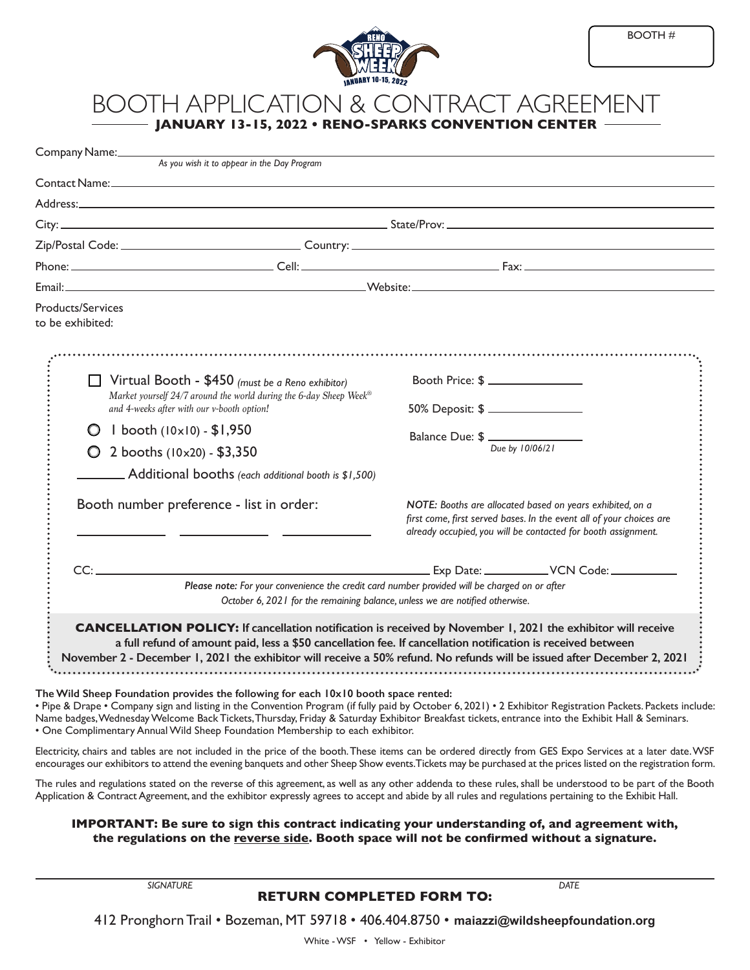

## BOOTH APPLICATION & CONTRACT AGREEMENT **JANUARY 13-15, 2022 • RENO-SPARKS CONVENTION CENTER**

| Company Name:_                                                                    | As you wish it to appear in the Day Program                                                                                                                                   |                                                                                                                                                                                                                                                                                                                             |
|-----------------------------------------------------------------------------------|-------------------------------------------------------------------------------------------------------------------------------------------------------------------------------|-----------------------------------------------------------------------------------------------------------------------------------------------------------------------------------------------------------------------------------------------------------------------------------------------------------------------------|
|                                                                                   |                                                                                                                                                                               |                                                                                                                                                                                                                                                                                                                             |
|                                                                                   |                                                                                                                                                                               |                                                                                                                                                                                                                                                                                                                             |
|                                                                                   |                                                                                                                                                                               |                                                                                                                                                                                                                                                                                                                             |
|                                                                                   |                                                                                                                                                                               |                                                                                                                                                                                                                                                                                                                             |
|                                                                                   |                                                                                                                                                                               |                                                                                                                                                                                                                                                                                                                             |
|                                                                                   |                                                                                                                                                                               |                                                                                                                                                                                                                                                                                                                             |
| <b>Products/Services</b><br>to be exhibited:                                      |                                                                                                                                                                               |                                                                                                                                                                                                                                                                                                                             |
|                                                                                   | $\Box$ Virtual Booth - \$450 (must be a Reno exhibitor)<br>Market yourself 24/7 around the world during the 6-day Sheep Week®<br>and 4-weeks after with our v-booth option!   | Booth Price: \$<br>50% Deposit: \$                                                                                                                                                                                                                                                                                          |
| $1$ booth $(10 \times 10) - $1,950$<br>O<br>$\bigcirc$ 2 booths (10x20) - \$3,350 |                                                                                                                                                                               | Balance Due: $\frac{1}{\sqrt{D_{\text{ue by }10/06/21}}}$                                                                                                                                                                                                                                                                   |
|                                                                                   |                                                                                                                                                                               |                                                                                                                                                                                                                                                                                                                             |
|                                                                                   | Booth number preference - list in order:                                                                                                                                      | NOTE: Booths are allocated based on years exhibited, on a<br>first come, first served bases. In the event all of your choices are<br>already occupied, you will be contacted for booth assignment.                                                                                                                          |
|                                                                                   |                                                                                                                                                                               |                                                                                                                                                                                                                                                                                                                             |
|                                                                                   | Please note: For your convenience the credit card number provided will be charged on or after<br>October 6, 2021 for the remaining balance, unless we are notified otherwise. |                                                                                                                                                                                                                                                                                                                             |
|                                                                                   | a full refund of amount paid, less a \$50 cancellation fee. If cancellation notification is received between                                                                  | <b>CANCELLATION POLICY:</b> If cancellation notification is received by November 1, 2021 the exhibitor will receive<br>November 2 - December 1, 2021 the exhibitor will receive a 50% refund. No refunds will be issued after December 2, 2021                                                                              |
|                                                                                   | The Wild Sheep Foundation provides the following for each 10x10 booth space rented:<br>• One Complimentary Annual Wild Sheep Foundation Membership to each exhibitor.         | • Pipe & Drape • Company sign and listing in the Convention Program (if fully paid by October 6, 2021) • 2 Exhibitor Registration Packets. Packets include:<br>Name badges, Wednesday Welcome Back Tickets, Thursday, Friday & Saturday Exhibitor Breakfast tickets, entrance into the Exhibit Hall & Seminars.             |
|                                                                                   |                                                                                                                                                                               | Electricity, chairs and tables are not included in the price of the booth. These items can be ordered directly from GES Expo Services at a later date. WSF<br>encourages our exhibitors to attend the evening banquets and other Sheep Show events. Tickets may be purchased at the prices listed on the registration form. |
|                                                                                   |                                                                                                                                                                               | The rules and regulations stated on the reverse of this agreement, as well as any other addenda to these rules, shall be understood to be part of the Booth<br>Application & Contract Agreement, and the exhibitor expressly agrees to accept and abide by all rules and regulations pertaining to the Exhibit Hall.        |

## **IMPORTANT: Be sure to sign this contract indicating your understanding of, and agreement with, the regulations on the reverse side. Booth space will not be confirmed without a signature.**

*SIGNATURE DATE* **RETURN COMPLETED FORM TO:**

412 Pronghorn Trail • Bozeman, MT 59718 • 406.404.8750 • **[maiazzi@wildsheepfoundation.org](mailto:maiazzi@wildsheepfoundation.org)**